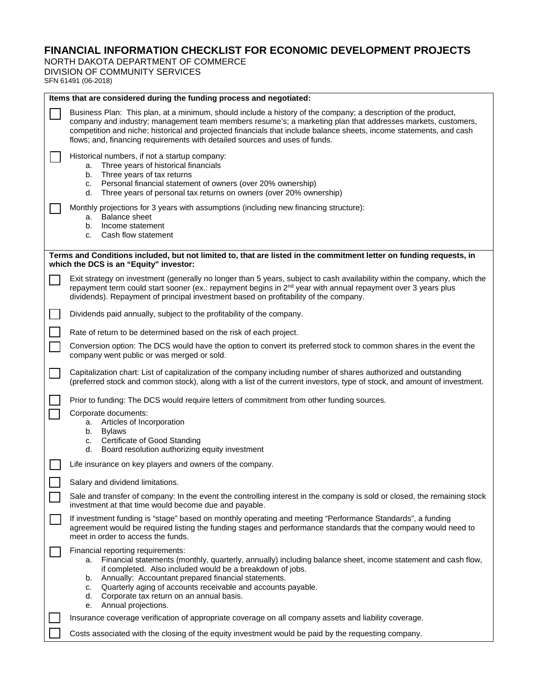## **FINANCIAL INFORMATION CHECKLIST FOR ECONOMIC DEVELOPMENT PROJECTS**

NORTH DAKOTA DEPARTMENT OF COMMERCE DIVISION OF COMMUNITY SERVICES

SFN 61491 (06-2018)

 $\blacksquare$ 

| Items that are considered during the funding process and negotiated:                                                                                          |                                                                                                                                                                                                                                                                                                                                                                                                                                     |  |
|---------------------------------------------------------------------------------------------------------------------------------------------------------------|-------------------------------------------------------------------------------------------------------------------------------------------------------------------------------------------------------------------------------------------------------------------------------------------------------------------------------------------------------------------------------------------------------------------------------------|--|
|                                                                                                                                                               | Business Plan: This plan, at a minimum, should include a history of the company; a description of the product,<br>company and industry; management team members resume's; a marketing plan that addresses markets, customers,<br>competition and niche; historical and projected financials that include balance sheets, income statements, and cash<br>flows; and, financing requirements with detailed sources and uses of funds. |  |
|                                                                                                                                                               | Historical numbers, if not a startup company:<br>Three years of historical financials<br>а.<br>Three years of tax returns<br>b.<br>Personal financial statement of owners (over 20% ownership)<br>C.<br>Three years of personal tax returns on owners (over 20% ownership)<br>d.                                                                                                                                                    |  |
|                                                                                                                                                               | Monthly projections for 3 years with assumptions (including new financing structure):<br><b>Balance sheet</b><br>а.<br>b. Income statement<br>Cash flow statement<br>C.                                                                                                                                                                                                                                                             |  |
| Terms and Conditions included, but not limited to, that are listed in the commitment letter on funding requests, in<br>which the DCS is an "Equity" investor: |                                                                                                                                                                                                                                                                                                                                                                                                                                     |  |
|                                                                                                                                                               | Exit strategy on investment (generally no longer than 5 years, subject to cash availability within the company, which the<br>repayment term could start sooner (ex.: repayment begins in $2^{nd}$ year with annual repayment over 3 years plus<br>dividends). Repayment of principal investment based on profitability of the company.                                                                                              |  |
|                                                                                                                                                               | Dividends paid annually, subject to the profitability of the company.                                                                                                                                                                                                                                                                                                                                                               |  |
|                                                                                                                                                               | Rate of return to be determined based on the risk of each project.                                                                                                                                                                                                                                                                                                                                                                  |  |
|                                                                                                                                                               | Conversion option: The DCS would have the option to convert its preferred stock to common shares in the event the<br>company went public or was merged or sold.                                                                                                                                                                                                                                                                     |  |
|                                                                                                                                                               | Capitalization chart: List of capitalization of the company including number of shares authorized and outstanding<br>(preferred stock and common stock), along with a list of the current investors, type of stock, and amount of investment.                                                                                                                                                                                       |  |
|                                                                                                                                                               | Prior to funding: The DCS would require letters of commitment from other funding sources.                                                                                                                                                                                                                                                                                                                                           |  |
|                                                                                                                                                               | Corporate documents:<br>a. Articles of Incorporation                                                                                                                                                                                                                                                                                                                                                                                |  |
|                                                                                                                                                               | <b>Bylaws</b><br>b.<br>Certificate of Good Standing<br>C.<br>Board resolution authorizing equity investment<br>d.                                                                                                                                                                                                                                                                                                                   |  |
|                                                                                                                                                               | Life insurance on key players and owners of the company.                                                                                                                                                                                                                                                                                                                                                                            |  |
|                                                                                                                                                               | Salary and dividend limitations.                                                                                                                                                                                                                                                                                                                                                                                                    |  |
|                                                                                                                                                               | Sale and transfer of company: In the event the controlling interest in the company is sold or closed, the remaining stock<br>investment at that time would become due and payable.                                                                                                                                                                                                                                                  |  |
|                                                                                                                                                               | If investment funding is "stage" based on monthly operating and meeting "Performance Standards", a funding<br>agreement would be required listing the funding stages and performance standards that the company would need to<br>meet in order to access the funds.                                                                                                                                                                 |  |
|                                                                                                                                                               | Financial reporting requirements:<br>Financial statements (monthly, quarterly, annually) including balance sheet, income statement and cash flow,<br>а.<br>if completed. Also included would be a breakdown of jobs.<br>b. Annually: Accountant prepared financial statements.<br>Quarterly aging of accounts receivable and accounts payable.<br>C.<br>d. Corporate tax return on an annual basis.<br>e. Annual projections.       |  |
|                                                                                                                                                               | Insurance coverage verification of appropriate coverage on all company assets and liability coverage.                                                                                                                                                                                                                                                                                                                               |  |
|                                                                                                                                                               | Costs associated with the closing of the equity investment would be paid by the requesting company.                                                                                                                                                                                                                                                                                                                                 |  |